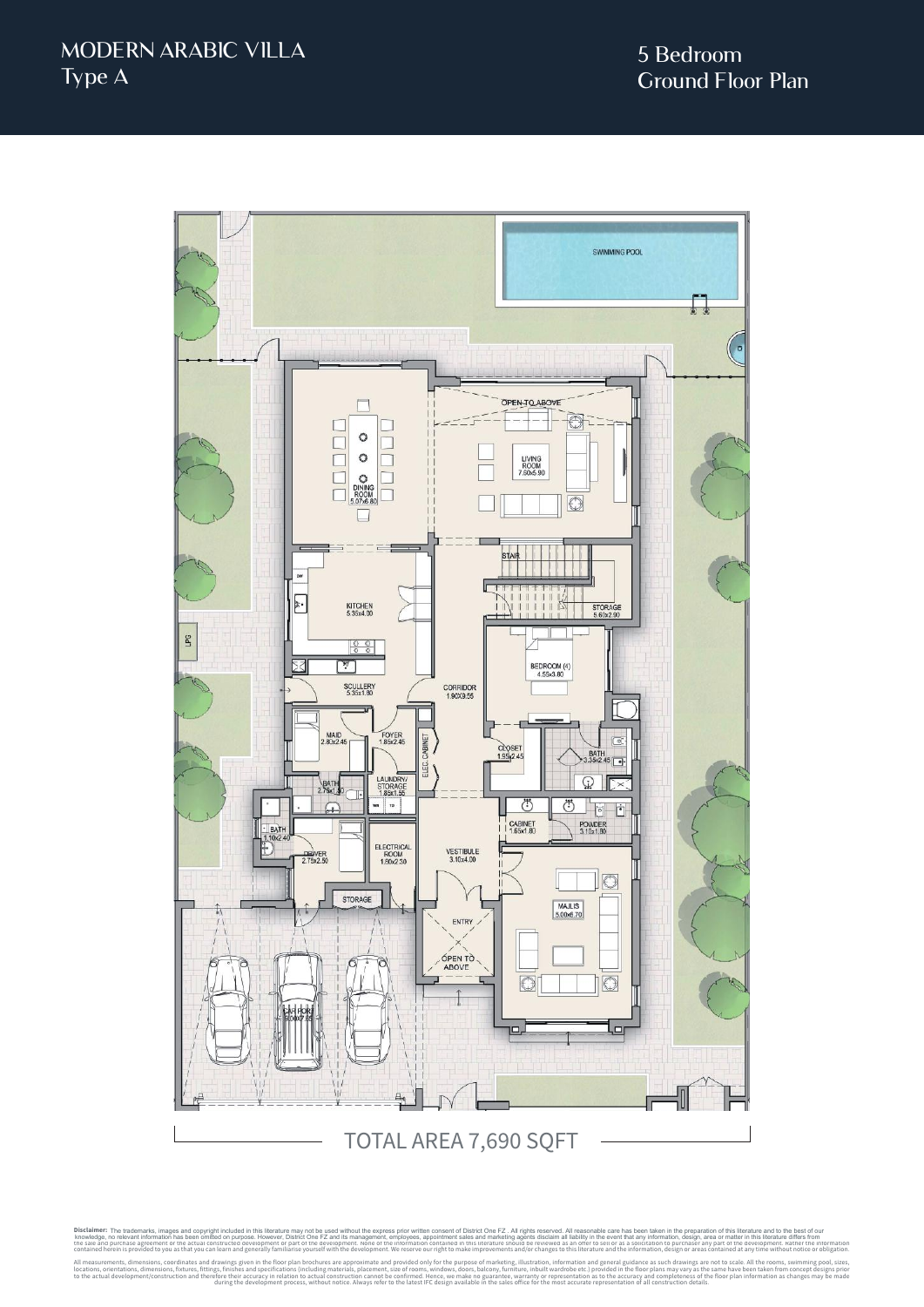

Disclaimer: The trademarks, images and copyright included in this literature may not be used without the express prior written consent of District One FZ. All rights reserved. All reasonable care has been taken in the prep knowledge, no relevant information has been omitted on purpose. However, District One FZ and its management, employees, appointment sales and marketing agents disclaim all liability in the event that any information, desig the sale and purchase agreement or the actual constructed development or part of the development. None of the information contained in this literature should be reviewed as an offer to sell or as a solicitation to purchase contained herein is provided to you as that you can learn and generally familiarise yourself with the development. We reserve our right to make improvements and/or changes to this literature and the information, design or All measurements, dimensions, coordinates and specifications (including materials, place approximate and provided only for the purpose of marketing, illustration, including materials processurement, size of rooms, windows, to the actual development/construction and therefore their accuracy in relation to actual construction cannot be confirmed. Hence, we make no guarantee, warranty or representation as to the accuracy and completeness of the during the development process, without notice. Always refer to the latest IFC design available in the sales office for the most accurate representation of all construction details. The trademarks, images and copyright included in this literature may not be used without the express prior written consent of District One FZ. All rights reserved. All reasonable care has been taken in the preparation of t knowledge, no relevant information has been omitted on purpose. However, District One FZ and its management, employees, appointment sales and marketing agents disclaim all liability in the event that any information, desig